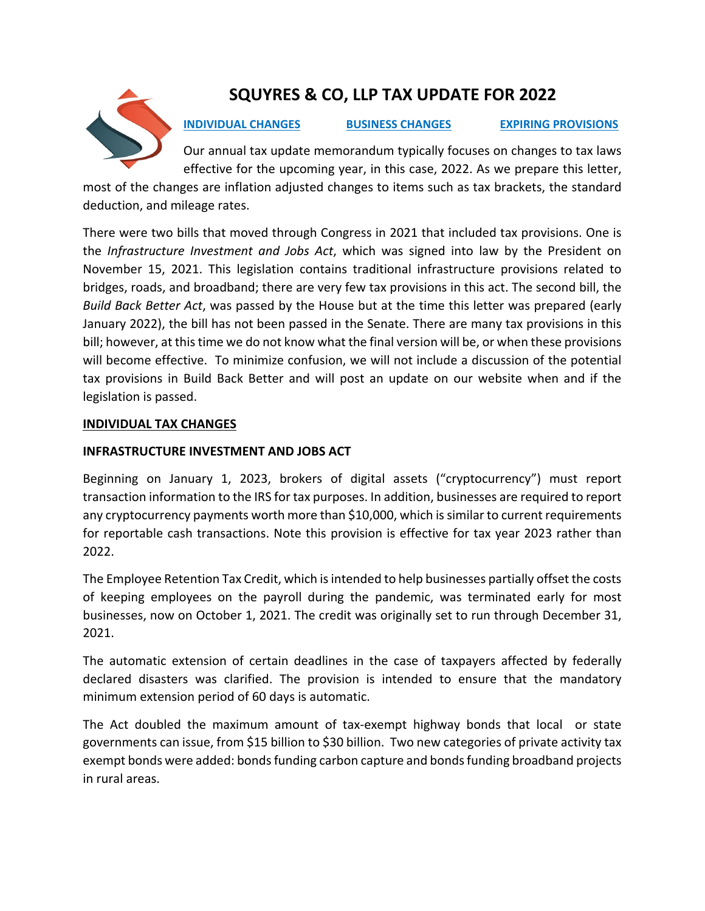

# **SQUYRES & CO, LLP TAX UPDATE FOR 2022**

**INDIVIDUAL CHANGES BUSINESS CHANGES EXPIRING PROVISIONS** 

Our annual tax update memorandum typically focuses on changes to tax laws effective for the upcoming year, in this case, 2022. As we prepare this letter,

most of the changes are inflation adjusted changes to items such as tax brackets, the standard deduction, and mileage rates.

There were two bills that moved through Congress in 2021 that included tax provisions. One is the *Infrastructure Investment and Jobs Act*, which was signed into law by the President on November 15, 2021. This legislation contains traditional infrastructure provisions related to bridges, roads, and broadband; there are very few tax provisions in this act. The second bill, the *Build Back Better Act*, was passed by the House but at the time this letter was prepared (early January 2022), the bill has not been passed in the Senate. There are many tax provisions in this bill; however, at this time we do not know what the final version will be, or when these provisions will become effective. To minimize confusion, we will not include a discussion of the potential tax provisions in Build Back Better and will post an update on our website when and if the legislation is passed.

# **INDIVIDUAL TAX CHANGES**

# **INFRASTRUCTURE INVESTMENT AND JOBS ACT**

Beginning on January 1, 2023, brokers of digital assets ("cryptocurrency") must report transaction information to the IRS for tax purposes. In addition, businesses are required to report any cryptocurrency payments worth more than \$10,000, which is similar to current requirements for reportable cash transactions. Note this provision is effective for tax year 2023 rather than 2022.

The Employee Retention Tax Credit, which is intended to help businesses partially offset the costs of keeping employees on the payroll during the pandemic, was terminated early for most businesses, now on October 1, 2021. The credit was originally set to run through December 31, 2021.

The automatic extension of certain deadlines in the case of taxpayers affected by federally declared disasters was clarified. The provision is intended to ensure that the mandatory minimum extension period of 60 days is automatic.

The Act doubled the maximum amount of tax-exempt highway bonds that local or state governments can issue, from \$15 billion to \$30 billion. Two new categories of private activity tax exempt bonds were added: bonds funding carbon capture and bonds funding broadband projects in rural areas.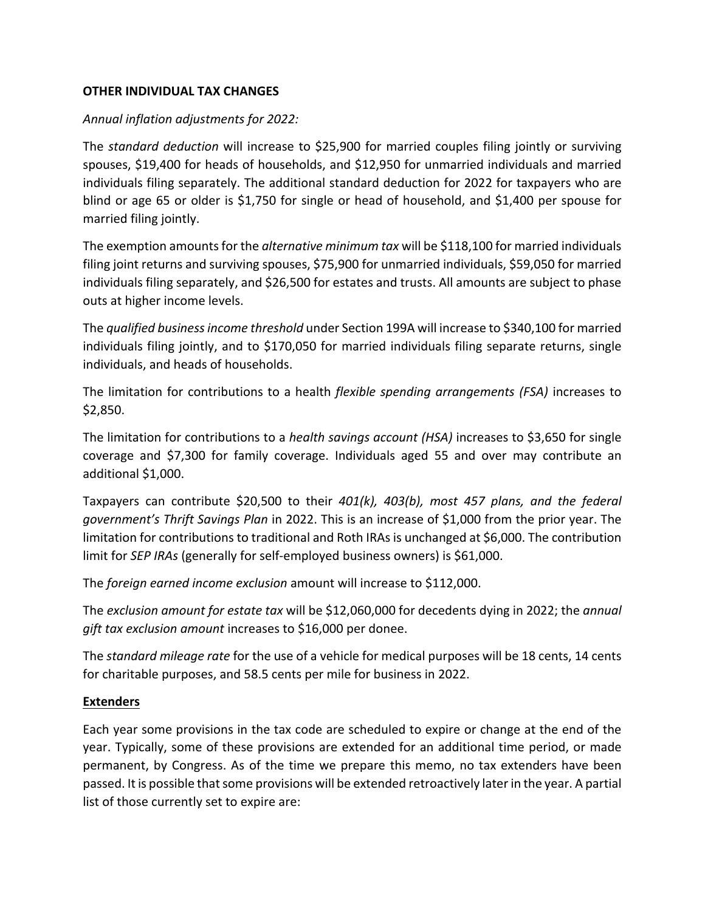## **OTHER INDIVIDUAL TAX CHANGES**

#### *Annual inflation adjustments for 2022:*

The *standard deduction* will increase to \$25,900 for married couples filing jointly or surviving spouses, \$19,400 for heads of households, and \$12,950 for unmarried individuals and married individuals filing separately. The additional standard deduction for 2022 for taxpayers who are blind or age 65 or older is \$1,750 for single or head of household, and \$1,400 per spouse for married filing jointly.

The exemption amounts for the *alternative minimum tax* will be \$118,100 for married individuals filing joint returns and surviving spouses, \$75,900 for unmarried individuals, \$59,050 for married individuals filing separately, and \$26,500 for estates and trusts. All amounts are subject to phase outs at higher income levels.

The *qualified business income threshold* under Section 199A will increase to \$340,100 for married individuals filing jointly, and to \$170,050 for married individuals filing separate returns, single individuals, and heads of households.

The limitation for contributions to a health *flexible spending arrangements (FSA)* increases to \$2,850.

The limitation for contributions to a *health savings account (HSA)* increases to \$3,650 for single coverage and \$7,300 for family coverage. Individuals aged 55 and over may contribute an additional \$1,000.

Taxpayers can contribute \$20,500 to their *401(k), 403(b), most 457 plans, and the federal government's Thrift Savings Plan* in 2022. This is an increase of \$1,000 from the prior year. The limitation for contributions to traditional and Roth IRAs is unchanged at \$6,000. The contribution limit for *SEP IRAs* (generally for self-employed business owners) is \$61,000.

The *foreign earned income exclusion* amount will increase to \$112,000.

The *exclusion amount for estate tax* will be \$12,060,000 for decedents dying in 2022; the *annual gift tax exclusion amount* increases to \$16,000 per donee.

The *standard mileage rate* for the use of a vehicle for medical purposes will be 18 cents, 14 cents for charitable purposes, and 58.5 cents per mile for business in 2022.

# **Extenders**

Each year some provisions in the tax code are scheduled to expire or change at the end of the year. Typically, some of these provisions are extended for an additional time period, or made permanent, by Congress. As of the time we prepare this memo, no tax extenders have been passed. It is possible that some provisions will be extended retroactively later in the year. A partial list of those currently set to expire are: